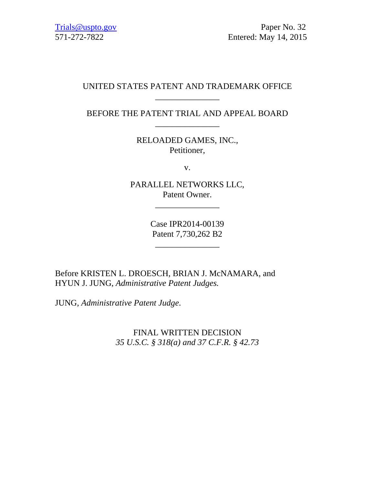Trials@uspto.gov Paper No. 32 571-272-7822 Entered: May 14, 2015

# UNITED STATES PATENT AND TRADEMARK OFFICE \_\_\_\_\_\_\_\_\_\_\_\_\_\_\_

BEFORE THE PATENT TRIAL AND APPEAL BOARD \_\_\_\_\_\_\_\_\_\_\_\_\_\_\_

> RELOADED GAMES, INC., Petitioner,

> > v.

PARALLEL NETWORKS LLC, Patent Owner.

\_\_\_\_\_\_\_\_\_\_\_\_\_\_\_

Case IPR2014-00139 Patent 7,730,262 B2

\_\_\_\_\_\_\_\_\_\_\_\_\_\_\_

Before KRISTEN L. DROESCH, BRIAN J. McNAMARA, and HYUN J. JUNG, *Administrative Patent Judges.* 

JUNG, *Administrative Patent Judge*.

FINAL WRITTEN DECISION *35 U.S.C. § 318(a) and 37 C.F.R. § 42.73*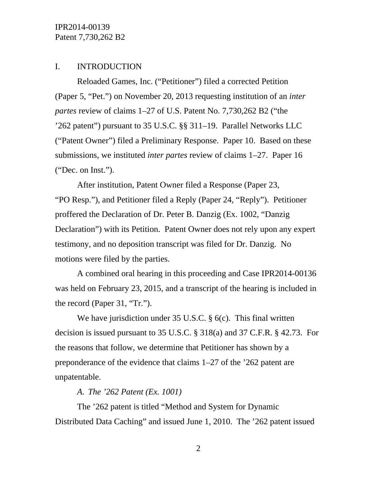### I. INTRODUCTION

Reloaded Games, Inc. ("Petitioner") filed a corrected Petition (Paper 5, "Pet.") on November 20, 2013 requesting institution of an *inter partes* review of claims 1–27 of U.S. Patent No. 7,730,262 B2 ("the '262 patent") pursuant to 35 U.S.C. §§ 311–19. Parallel Networks LLC ("Patent Owner") filed a Preliminary Response. Paper 10. Based on these submissions, we instituted *inter partes* review of claims 1–27. Paper 16 ("Dec. on Inst.").

After institution, Patent Owner filed a Response (Paper 23, "PO Resp."), and Petitioner filed a Reply (Paper 24, "Reply"). Petitioner proffered the Declaration of Dr. Peter B. Danzig (Ex. 1002, "Danzig Declaration") with its Petition. Patent Owner does not rely upon any expert testimony, and no deposition transcript was filed for Dr. Danzig. No motions were filed by the parties.

A combined oral hearing in this proceeding and Case IPR2014-00136 was held on February 23, 2015, and a transcript of the hearing is included in the record (Paper 31, "Tr.").

We have jurisdiction under 35 U.S.C. § 6(c). This final written decision is issued pursuant to 35 U.S.C. § 318(a) and 37 C.F.R. § 42.73. For the reasons that follow, we determine that Petitioner has shown by a preponderance of the evidence that claims 1–27 of the '262 patent are unpatentable.

### *A. The '262 Patent (Ex. 1001)*

The '262 patent is titled "Method and System for Dynamic Distributed Data Caching" and issued June 1, 2010. The '262 patent issued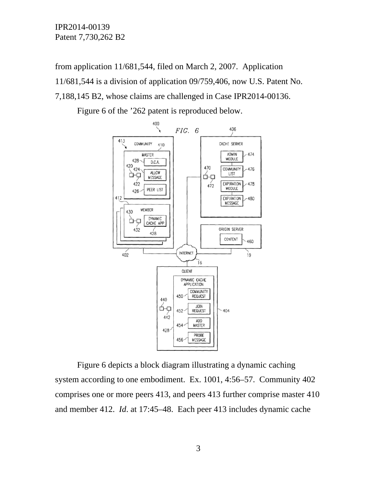from application 11/681,544, filed on March 2, 2007. Application 11/681,544 is a division of application 09/759,406, now U.S. Patent No. 7,188,145 B2, whose claims are challenged in Case IPR2014-00136.

Figure 6 of the '262 patent is reproduced below.



Figure 6 depicts a block diagram illustrating a dynamic caching system according to one embodiment. Ex. 1001, 4:56–57. Community 402 comprises one or more peers 413, and peers 413 further comprise master 410 and member 412. *Id*. at 17:45–48. Each peer 413 includes dynamic cache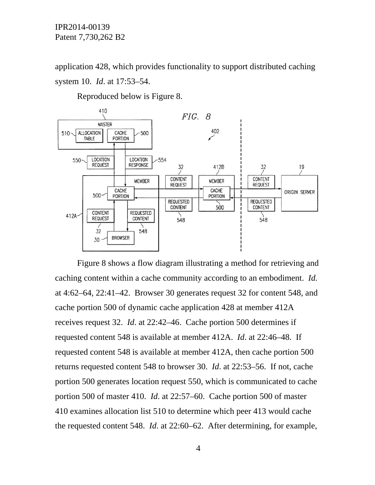application 428, which provides functionality to support distributed caching system 10. *Id*. at 17:53–54.

Reproduced below is Figure 8.



Figure 8 shows a flow diagram illustrating a method for retrieving and caching content within a cache community according to an embodiment. *Id.* at 4:62–64, 22:41–42. Browser 30 generates request 32 for content 548, and cache portion 500 of dynamic cache application 428 at member 412A receives request 32. *Id*. at 22:42–46. Cache portion 500 determines if requested content 548 is available at member 412A. *Id*. at 22:46–48. If requested content 548 is available at member 412A, then cache portion 500 returns requested content 548 to browser 30. *Id*. at 22:53–56. If not, cache portion 500 generates location request 550, which is communicated to cache portion 500 of master 410. *Id*. at 22:57–60. Cache portion 500 of master 410 examines allocation list 510 to determine which peer 413 would cache the requested content 548. *Id*. at 22:60–62. After determining, for example,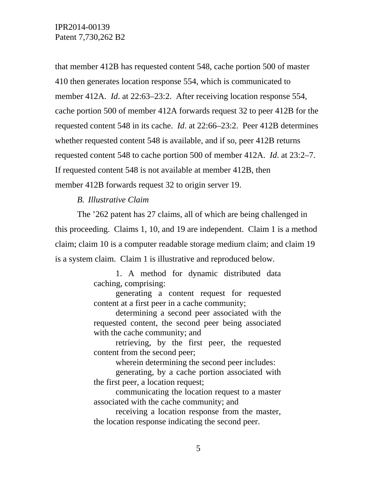that member 412B has requested content 548, cache portion 500 of master 410 then generates location response 554, which is communicated to member 412A. *Id*. at 22:63–23:2. After receiving location response 554, cache portion 500 of member 412A forwards request 32 to peer 412B for the requested content 548 in its cache. *Id*. at 22:66–23:2. Peer 412B determines whether requested content 548 is available, and if so, peer 412B returns requested content 548 to cache portion 500 of member 412A. *Id*. at 23:2–7. If requested content 548 is not available at member 412B, then member 412B forwards request 32 to origin server 19.

### *B. Illustrative Claim*

The '262 patent has 27 claims, all of which are being challenged in this proceeding. Claims 1, 10, and 19 are independent. Claim 1 is a method claim; claim 10 is a computer readable storage medium claim; and claim 19 is a system claim. Claim 1 is illustrative and reproduced below.

> 1. A method for dynamic distributed data caching, comprising:

> generating a content request for requested content at a first peer in a cache community;

> determining a second peer associated with the requested content, the second peer being associated with the cache community; and

> retrieving, by the first peer, the requested content from the second peer;

> > wherein determining the second peer includes:

generating, by a cache portion associated with the first peer, a location request;

communicating the location request to a master associated with the cache community; and

receiving a location response from the master, the location response indicating the second peer.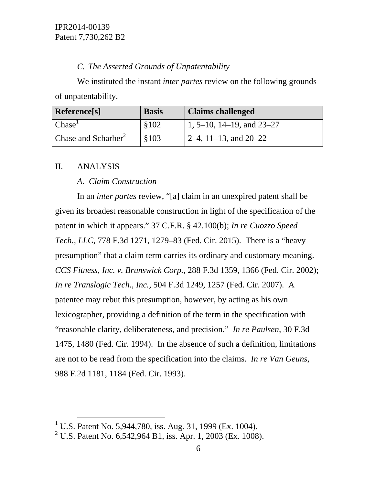# *C. The Asserted Grounds of Unpatentability*

We instituted the instant *inter partes* review on the following grounds of unpatentability.

| Reference[s]                    | <b>Basis</b> | <b>Claims challenged</b>    |
|---------------------------------|--------------|-----------------------------|
| Chase <sup>T</sup>              | \$102        | 1, 5–10, 14–19, and $23-27$ |
| Chase and Scharber <sup>2</sup> | \$103        | 2–4, 11–13, and $20-22$     |

# II. ANALYSIS

# *A. Claim Construction*

In an *inter partes* review, "[a] claim in an unexpired patent shall be given its broadest reasonable construction in light of the specification of the patent in which it appears." 37 C.F.R. § 42.100(b); *In re Cuozzo Speed Tech., LLC*, 778 F.3d 1271, 1279–83 (Fed. Cir. 2015). There is a "heavy presumption" that a claim term carries its ordinary and customary meaning. *CCS Fitness, Inc. v. Brunswick Corp.*, 288 F.3d 1359, 1366 (Fed. Cir. 2002); *In re Translogic Tech., Inc.*, 504 F.3d 1249, 1257 (Fed. Cir. 2007). A patentee may rebut this presumption, however, by acting as his own lexicographer, providing a definition of the term in the specification with "reasonable clarity, deliberateness, and precision." *In re Paulsen*, 30 F.3d 1475, 1480 (Fed. Cir. 1994). In the absence of such a definition, limitations are not to be read from the specification into the claims. *In re Van Geuns*, 988 F.2d 1181, 1184 (Fed. Cir. 1993).

<sup>&</sup>lt;sup>1</sup> U.S. Patent No. 5,944,780, iss. Aug. 31, 1999 (Ex. 1004).

<sup>&</sup>lt;sup>2</sup> U.S. Patent No. 6,542,964 B1, iss. Apr. 1, 2003 (Ex. 1008).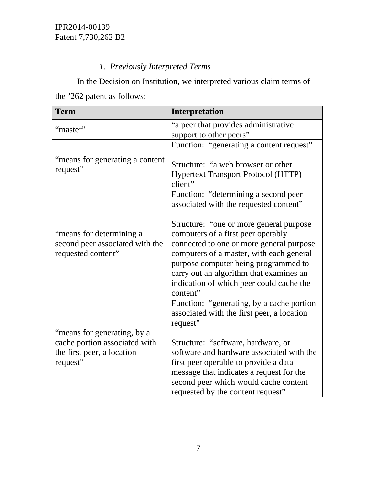# *1. Previously Interpreted Terms*

In the Decision on Institution, we interpreted various claim terms of the '262 patent as follows:

| <b>Term</b>                                                                       | Interpretation                                                                                                                                                                                                                                                                                                   |
|-----------------------------------------------------------------------------------|------------------------------------------------------------------------------------------------------------------------------------------------------------------------------------------------------------------------------------------------------------------------------------------------------------------|
| "master"                                                                          | "a peer that provides administrative                                                                                                                                                                                                                                                                             |
|                                                                                   | support to other peers"                                                                                                                                                                                                                                                                                          |
|                                                                                   | Function: "generating a content request"                                                                                                                                                                                                                                                                         |
| "means for generating a content<br>request"                                       | Structure: "a web browser or other<br><b>Hypertext Transport Protocol (HTTP)</b><br>client"                                                                                                                                                                                                                      |
|                                                                                   | Function: "determining a second peer                                                                                                                                                                                                                                                                             |
|                                                                                   | associated with the requested content"                                                                                                                                                                                                                                                                           |
| "means for determining a<br>second peer associated with the<br>requested content" | Structure: "one or more general purpose<br>computers of a first peer operably<br>connected to one or more general purpose<br>computers of a master, with each general<br>purpose computer being programmed to<br>carry out an algorithm that examines an<br>indication of which peer could cache the<br>content" |
|                                                                                   | Function: "generating, by a cache portion                                                                                                                                                                                                                                                                        |
|                                                                                   | associated with the first peer, a location<br>request"                                                                                                                                                                                                                                                           |
| "means for generating, by a                                                       |                                                                                                                                                                                                                                                                                                                  |
| cache portion associated with                                                     | Structure: "software, hardware, or                                                                                                                                                                                                                                                                               |
| the first peer, a location                                                        | software and hardware associated with the                                                                                                                                                                                                                                                                        |
| request"                                                                          | first peer operable to provide a data                                                                                                                                                                                                                                                                            |
|                                                                                   | message that indicates a request for the                                                                                                                                                                                                                                                                         |
|                                                                                   | second peer which would cache content                                                                                                                                                                                                                                                                            |
|                                                                                   | requested by the content request"                                                                                                                                                                                                                                                                                |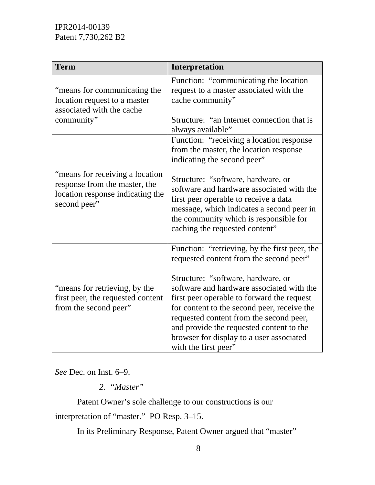| Interpretation                                                                                                                                                                                                                                                                                                                                                                                              |
|-------------------------------------------------------------------------------------------------------------------------------------------------------------------------------------------------------------------------------------------------------------------------------------------------------------------------------------------------------------------------------------------------------------|
| Function: "communicating the location<br>request to a master associated with the<br>cache community"<br>Structure: "an Internet connection that is                                                                                                                                                                                                                                                          |
| always available"                                                                                                                                                                                                                                                                                                                                                                                           |
| Function: "receiving a location response<br>from the master, the location response<br>indicating the second peer"                                                                                                                                                                                                                                                                                           |
| Structure: "software, hardware, or<br>software and hardware associated with the<br>first peer operable to receive a data<br>message, which indicates a second peer in<br>the community which is responsible for<br>caching the requested content"                                                                                                                                                           |
| Function: "retrieving, by the first peer, the<br>requested content from the second peer"<br>Structure: "software, hardware, or<br>software and hardware associated with the<br>first peer operable to forward the request<br>for content to the second peer, receive the<br>requested content from the second peer,<br>and provide the requested content to the<br>browser for display to a user associated |
| with the first peer"                                                                                                                                                                                                                                                                                                                                                                                        |

*See* Dec. on Inst. 6–9.

*2. "Master"* 

Patent Owner's sole challenge to our constructions is our

interpretation of "master." PO Resp. 3–15.

In its Preliminary Response, Patent Owner argued that "master"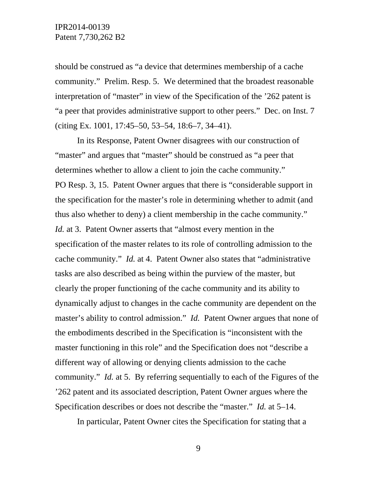should be construed as "a device that determines membership of a cache community." Prelim. Resp. 5. We determined that the broadest reasonable interpretation of "master" in view of the Specification of the '262 patent is "a peer that provides administrative support to other peers." Dec. on Inst. 7 (citing Ex. 1001, 17:45–50, 53–54, 18:6–7, 34–41).

In its Response, Patent Owner disagrees with our construction of "master" and argues that "master" should be construed as "a peer that determines whether to allow a client to join the cache community." PO Resp. 3, 15. Patent Owner argues that there is "considerable support in the specification for the master's role in determining whether to admit (and thus also whether to deny) a client membership in the cache community." *Id.* at 3. Patent Owner asserts that "almost every mention in the specification of the master relates to its role of controlling admission to the cache community." *Id.* at 4. Patent Owner also states that "administrative tasks are also described as being within the purview of the master, but clearly the proper functioning of the cache community and its ability to dynamically adjust to changes in the cache community are dependent on the master's ability to control admission." *Id.* Patent Owner argues that none of the embodiments described in the Specification is "inconsistent with the master functioning in this role" and the Specification does not "describe a different way of allowing or denying clients admission to the cache community." *Id.* at 5. By referring sequentially to each of the Figures of the '262 patent and its associated description, Patent Owner argues where the Specification describes or does not describe the "master." *Id.* at 5–14.

In particular, Patent Owner cites the Specification for stating that a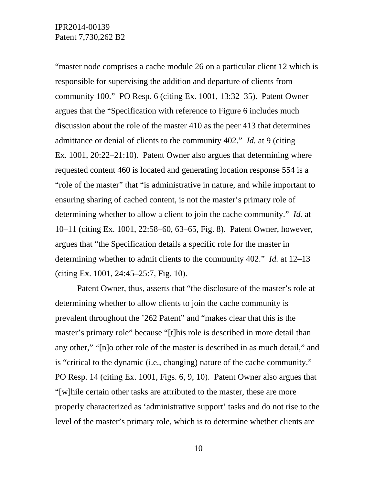"master node comprises a cache module 26 on a particular client 12 which is responsible for supervising the addition and departure of clients from community 100." PO Resp. 6 (citing Ex. 1001, 13:32–35). Patent Owner argues that the "Specification with reference to Figure 6 includes much discussion about the role of the master 410 as the peer 413 that determines admittance or denial of clients to the community 402." *Id.* at 9 (citing Ex. 1001, 20:22–21:10). Patent Owner also argues that determining where requested content 460 is located and generating location response 554 is a "role of the master" that "is administrative in nature, and while important to ensuring sharing of cached content, is not the master's primary role of determining whether to allow a client to join the cache community." *Id.* at 10–11 (citing Ex. 1001, 22:58–60, 63–65, Fig. 8). Patent Owner, however, argues that "the Specification details a specific role for the master in determining whether to admit clients to the community 402." *Id.* at 12–13 (citing Ex. 1001, 24:45–25:7, Fig. 10).

Patent Owner, thus, asserts that "the disclosure of the master's role at determining whether to allow clients to join the cache community is prevalent throughout the '262 Patent" and "makes clear that this is the master's primary role" because "[t]his role is described in more detail than any other," "[n]o other role of the master is described in as much detail," and is "critical to the dynamic (i.e., changing) nature of the cache community." PO Resp. 14 (citing Ex. 1001, Figs. 6, 9, 10). Patent Owner also argues that "[w]hile certain other tasks are attributed to the master, these are more properly characterized as 'administrative support' tasks and do not rise to the level of the master's primary role, which is to determine whether clients are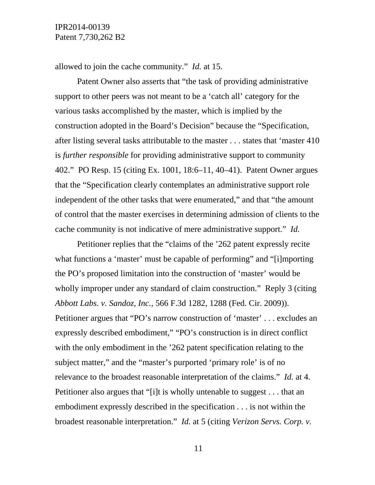allowed to join the cache community." *Id.* at 15.

Patent Owner also asserts that "the task of providing administrative support to other peers was not meant to be a 'catch all' category for the various tasks accomplished by the master, which is implied by the construction adopted in the Board's Decision" because the "Specification, after listing several tasks attributable to the master . . . states that 'master 410 is *further responsible* for providing administrative support to community 402." PO Resp. 15 (citing Ex. 1001, 18:6–11, 40–41). Patent Owner argues that the "Specification clearly contemplates an administrative support role independent of the other tasks that were enumerated," and that "the amount of control that the master exercises in determining admission of clients to the cache community is not indicative of mere administrative support." *Id.*

Petitioner replies that the "claims of the '262 patent expressly recite what functions a 'master' must be capable of performing" and "[i]mporting the PO's proposed limitation into the construction of 'master' would be wholly improper under any standard of claim construction." Reply 3 (citing *Abbott Labs. v. Sandoz, Inc.*, 566 F.3d 1282, 1288 (Fed. Cir. 2009)). Petitioner argues that "PO's narrow construction of 'master' . . . excludes an expressly described embodiment," "PO's construction is in direct conflict with the only embodiment in the '262 patent specification relating to the subject matter," and the "master's purported 'primary role' is of no relevance to the broadest reasonable interpretation of the claims." *Id.* at 4. Petitioner also argues that "[i]t is wholly untenable to suggest . . . that an embodiment expressly described in the specification . . . is not within the broadest reasonable interpretation." *Id.* at 5 (citing *Verizon Servs. Corp. v.*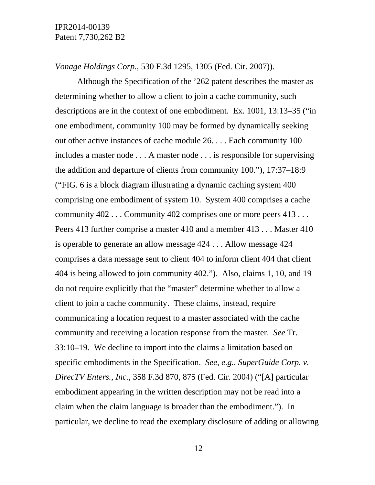*Vonage Holdings Corp.*, 530 F.3d 1295, 1305 (Fed. Cir. 2007)).

Although the Specification of the '262 patent describes the master as determining whether to allow a client to join a cache community, such descriptions are in the context of one embodiment. Ex. 1001, 13:13–35 ("in one embodiment, community 100 may be formed by dynamically seeking out other active instances of cache module 26. . . . Each community 100 includes a master node . . . A master node . . . is responsible for supervising the addition and departure of clients from community 100."), 17:37–18:9 ("FIG. 6 is a block diagram illustrating a dynamic caching system 400 comprising one embodiment of system 10. System 400 comprises a cache community 402 . . . Community 402 comprises one or more peers 413 . . . Peers 413 further comprise a master 410 and a member 413 . . . Master 410 is operable to generate an allow message 424 . . . Allow message 424 comprises a data message sent to client 404 to inform client 404 that client 404 is being allowed to join community 402."). Also, claims 1, 10, and 19 do not require explicitly that the "master" determine whether to allow a client to join a cache community. These claims, instead, require communicating a location request to a master associated with the cache community and receiving a location response from the master. *See* Tr. 33:10–19. We decline to import into the claims a limitation based on specific embodiments in the Specification. *See, e.g.*, *SuperGuide Corp. v. DirecTV Enters., Inc.*, 358 F.3d 870, 875 (Fed. Cir. 2004) ("[A] particular embodiment appearing in the written description may not be read into a claim when the claim language is broader than the embodiment."). In particular, we decline to read the exemplary disclosure of adding or allowing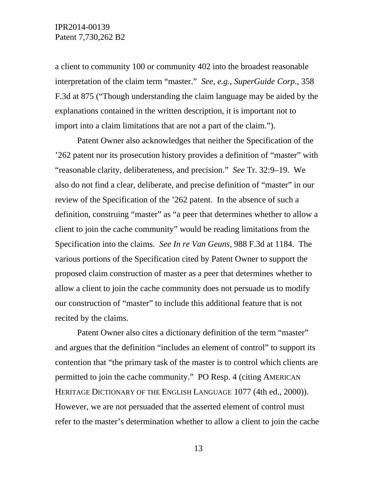a client to community 100 or community 402 into the broadest reasonable interpretation of the claim term "master." *See, e.g.*, *SuperGuide Corp.*, 358 F.3d at 875 ("Though understanding the claim language may be aided by the explanations contained in the written description, it is important not to import into a claim limitations that are not a part of the claim.").

Patent Owner also acknowledges that neither the Specification of the '262 patent nor its prosecution history provides a definition of "master" with "reasonable clarity, deliberateness, and precision." *See* Tr. 32:9–19. We also do not find a clear, deliberate, and precise definition of "master" in our review of the Specification of the '262 patent. In the absence of such a definition, construing "master" as "a peer that determines whether to allow a client to join the cache community" would be reading limitations from the Specification into the claims. *See In re Van Geuns*, 988 F.3d at 1184. The various portions of the Specification cited by Patent Owner to support the proposed claim construction of master as a peer that determines whether to allow a client to join the cache community does not persuade us to modify our construction of "master" to include this additional feature that is not recited by the claims.

Patent Owner also cites a dictionary definition of the term "master" and argues that the definition "includes an element of control" to support its contention that "the primary task of the master is to control which clients are permitted to join the cache community." PO Resp. 4 (citing AMERICAN HERITAGE DICTIONARY OF THE ENGLISH LANGUAGE 1077 (4th ed., 2000)). However, we are not persuaded that the asserted element of control must refer to the master's determination whether to allow a client to join the cache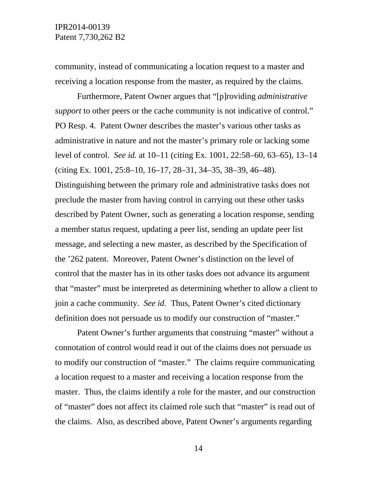community, instead of communicating a location request to a master and receiving a location response from the master, as required by the claims.

Furthermore, Patent Owner argues that "[p]roviding *administrative support* to other peers or the cache community is not indicative of control." PO Resp. 4. Patent Owner describes the master's various other tasks as administrative in nature and not the master's primary role or lacking some level of control. *See id.* at 10–11 (citing Ex. 1001, 22:58–60, 63–65), 13–14 (citing Ex. 1001, 25:8–10, 16–17, 28–31, 34–35, 38–39, 46–48). Distinguishing between the primary role and administrative tasks does not preclude the master from having control in carrying out these other tasks described by Patent Owner, such as generating a location response, sending a member status request, updating a peer list, sending an update peer list message, and selecting a new master, as described by the Specification of the '262 patent. Moreover, Patent Owner's distinction on the level of control that the master has in its other tasks does not advance its argument that "master" must be interpreted as determining whether to allow a client to join a cache community. *See id.* Thus, Patent Owner's cited dictionary definition does not persuade us to modify our construction of "master."

Patent Owner's further arguments that construing "master" without a connotation of control would read it out of the claims does not persuade us to modify our construction of "master." The claims require communicating a location request to a master and receiving a location response from the master. Thus, the claims identify a role for the master, and our construction of "master" does not affect its claimed role such that "master" is read out of the claims. Also, as described above, Patent Owner's arguments regarding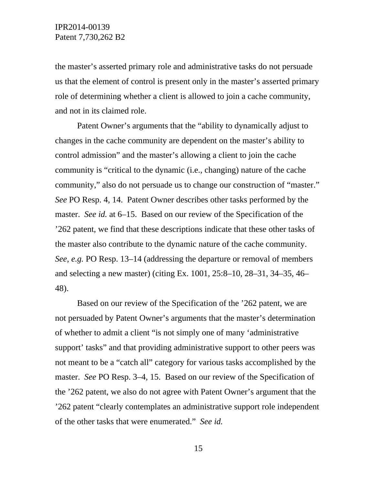the master's asserted primary role and administrative tasks do not persuade us that the element of control is present only in the master's asserted primary role of determining whether a client is allowed to join a cache community, and not in its claimed role.

Patent Owner's arguments that the "ability to dynamically adjust to changes in the cache community are dependent on the master's ability to control admission" and the master's allowing a client to join the cache community is "critical to the dynamic (i.e., changing) nature of the cache community," also do not persuade us to change our construction of "master." *See* PO Resp. 4, 14. Patent Owner describes other tasks performed by the master. *See id.* at 6–15. Based on our review of the Specification of the '262 patent, we find that these descriptions indicate that these other tasks of the master also contribute to the dynamic nature of the cache community. *See, e.g.* PO Resp. 13–14 (addressing the departure or removal of members and selecting a new master) (citing Ex. 1001, 25:8–10, 28–31, 34–35, 46– 48).

Based on our review of the Specification of the '262 patent, we are not persuaded by Patent Owner's arguments that the master's determination of whether to admit a client "is not simply one of many 'administrative support' tasks" and that providing administrative support to other peers was not meant to be a "catch all" category for various tasks accomplished by the master. *See* PO Resp. 3–4, 15. Based on our review of the Specification of the '262 patent, we also do not agree with Patent Owner's argument that the '262 patent "clearly contemplates an administrative support role independent of the other tasks that were enumerated." *See id.*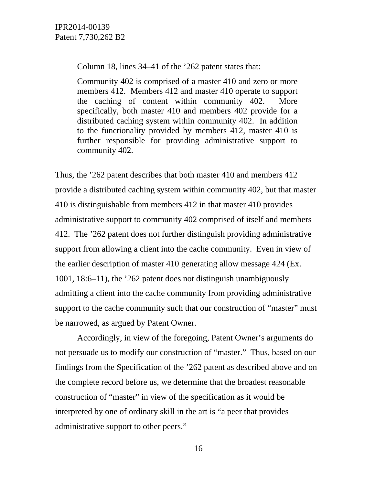Column 18, lines 34–41 of the '262 patent states that:

Community 402 is comprised of a master 410 and zero or more members 412. Members 412 and master 410 operate to support the caching of content within community 402. More specifically, both master 410 and members 402 provide for a distributed caching system within community 402. In addition to the functionality provided by members 412, master 410 is further responsible for providing administrative support to community 402.

Thus, the '262 patent describes that both master 410 and members 412 provide a distributed caching system within community 402, but that master 410 is distinguishable from members 412 in that master 410 provides administrative support to community 402 comprised of itself and members 412. The '262 patent does not further distinguish providing administrative support from allowing a client into the cache community. Even in view of the earlier description of master 410 generating allow message 424 (Ex. 1001, 18:6–11), the '262 patent does not distinguish unambiguously admitting a client into the cache community from providing administrative support to the cache community such that our construction of "master" must be narrowed, as argued by Patent Owner.

Accordingly, in view of the foregoing, Patent Owner's arguments do not persuade us to modify our construction of "master." Thus, based on our findings from the Specification of the '262 patent as described above and on the complete record before us, we determine that the broadest reasonable construction of "master" in view of the specification as it would be interpreted by one of ordinary skill in the art is "a peer that provides administrative support to other peers."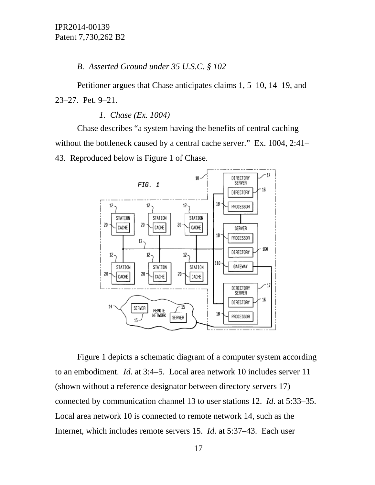*B. Asserted Ground under 35 U.S.C. § 102* 

Petitioner argues that Chase anticipates claims 1, 5–10, 14–19, and 23–27. Pet. 9–21.

*1. Chase (Ex. 1004)* 

Chase describes "a system having the benefits of central caching without the bottleneck caused by a central cache server." Ex. 1004, 2:41– 43. Reproduced below is Figure 1 of Chase.



Figure 1 depicts a schematic diagram of a computer system according to an embodiment. *Id.* at 3:4–5. Local area network 10 includes server 11 (shown without a reference designator between directory servers 17) connected by communication channel 13 to user stations 12. *Id*. at 5:33–35. Local area network 10 is connected to remote network 14, such as the Internet, which includes remote servers 15. *Id*. at 5:37–43. Each user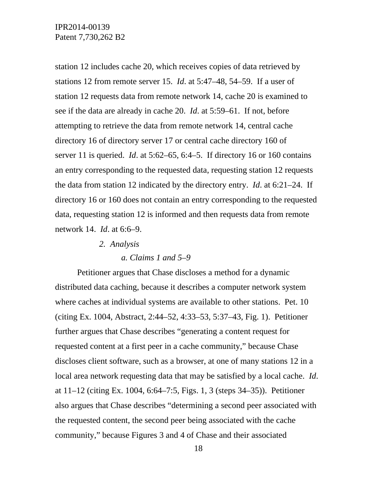station 12 includes cache 20, which receives copies of data retrieved by stations 12 from remote server 15. *Id*. at 5:47–48, 54–59. If a user of station 12 requests data from remote network 14, cache 20 is examined to see if the data are already in cache 20. *Id*. at 5:59–61. If not, before attempting to retrieve the data from remote network 14, central cache directory 16 of directory server 17 or central cache directory 160 of server 11 is queried. *Id*. at 5:62–65, 6:4–5. If directory 16 or 160 contains an entry corresponding to the requested data, requesting station 12 requests the data from station 12 indicated by the directory entry. *Id*. at 6:21–24. If directory 16 or 160 does not contain an entry corresponding to the requested data, requesting station 12 is informed and then requests data from remote network 14. *Id*. at 6:6–9.

#### *2. Analysis*

#### *a. Claims 1 and 5–9*

Petitioner argues that Chase discloses a method for a dynamic distributed data caching, because it describes a computer network system where caches at individual systems are available to other stations. Pet. 10 (citing Ex. 1004, Abstract, 2:44–52, 4:33–53, 5:37–43, Fig. 1). Petitioner further argues that Chase describes "generating a content request for requested content at a first peer in a cache community," because Chase discloses client software, such as a browser, at one of many stations 12 in a local area network requesting data that may be satisfied by a local cache. *Id*. at 11–12 (citing Ex. 1004, 6:64–7:5, Figs. 1, 3 (steps 34–35)). Petitioner also argues that Chase describes "determining a second peer associated with the requested content, the second peer being associated with the cache community," because Figures 3 and 4 of Chase and their associated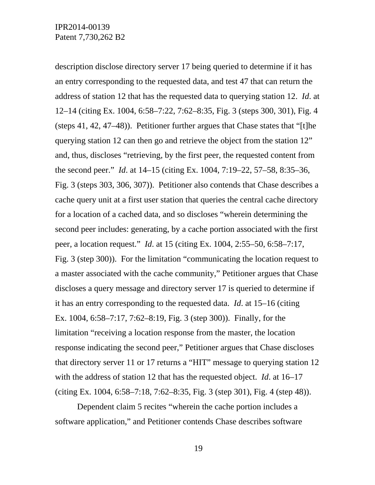description disclose directory server 17 being queried to determine if it has an entry corresponding to the requested data, and test 47 that can return the address of station 12 that has the requested data to querying station 12. *Id*. at 12–14 (citing Ex. 1004, 6:58–7:22, 7:62–8:35, Fig. 3 (steps 300, 301), Fig. 4 (steps 41, 42, 47–48)). Petitioner further argues that Chase states that "[t]he querying station 12 can then go and retrieve the object from the station 12" and, thus, discloses "retrieving, by the first peer, the requested content from the second peer." *Id*. at 14–15 (citing Ex. 1004, 7:19–22, 57–58, 8:35–36, Fig. 3 (steps 303, 306, 307)). Petitioner also contends that Chase describes a cache query unit at a first user station that queries the central cache directory for a location of a cached data, and so discloses "wherein determining the second peer includes: generating, by a cache portion associated with the first peer, a location request." *Id*. at 15 (citing Ex. 1004, 2:55–50, 6:58–7:17, Fig. 3 (step 300)). For the limitation "communicating the location request to a master associated with the cache community," Petitioner argues that Chase discloses a query message and directory server 17 is queried to determine if it has an entry corresponding to the requested data. *Id*. at 15–16 (citing Ex. 1004, 6:58–7:17, 7:62–8:19, Fig. 3 (step 300)). Finally, for the limitation "receiving a location response from the master, the location response indicating the second peer," Petitioner argues that Chase discloses that directory server 11 or 17 returns a "HIT" message to querying station 12 with the address of station 12 that has the requested object. *Id*. at 16–17 (citing Ex. 1004, 6:58–7:18, 7:62–8:35, Fig. 3 (step 301), Fig. 4 (step 48)).

Dependent claim 5 recites "wherein the cache portion includes a software application," and Petitioner contends Chase describes software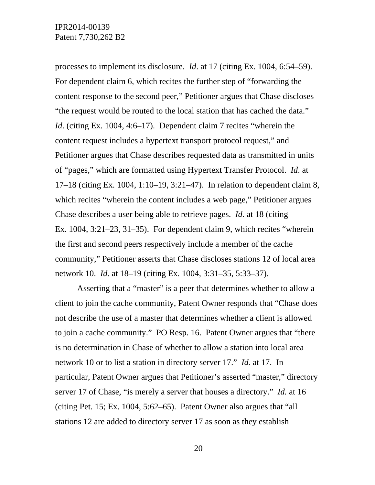processes to implement its disclosure. *Id*. at 17 (citing Ex. 1004, 6:54–59). For dependent claim 6, which recites the further step of "forwarding the content response to the second peer," Petitioner argues that Chase discloses "the request would be routed to the local station that has cached the data." *Id.* (citing Ex. 1004, 4:6–17). Dependent claim 7 recites "wherein the content request includes a hypertext transport protocol request," and Petitioner argues that Chase describes requested data as transmitted in units of "pages," which are formatted using Hypertext Transfer Protocol. *Id*. at 17–18 (citing Ex. 1004, 1:10–19, 3:21–47). In relation to dependent claim 8, which recites "wherein the content includes a web page," Petitioner argues Chase describes a user being able to retrieve pages. *Id*. at 18 (citing Ex. 1004, 3:21–23, 31–35). For dependent claim 9, which recites "wherein the first and second peers respectively include a member of the cache community," Petitioner asserts that Chase discloses stations 12 of local area network 10. *Id*. at 18–19 (citing Ex. 1004, 3:31–35, 5:33–37).

Asserting that a "master" is a peer that determines whether to allow a client to join the cache community, Patent Owner responds that "Chase does not describe the use of a master that determines whether a client is allowed to join a cache community." PO Resp. 16. Patent Owner argues that "there is no determination in Chase of whether to allow a station into local area network 10 or to list a station in directory server 17." *Id.* at 17. In particular, Patent Owner argues that Petitioner's asserted "master," directory server 17 of Chase, "is merely a server that houses a directory." *Id.* at 16 (citing Pet. 15; Ex. 1004, 5:62–65). Patent Owner also argues that "all stations 12 are added to directory server 17 as soon as they establish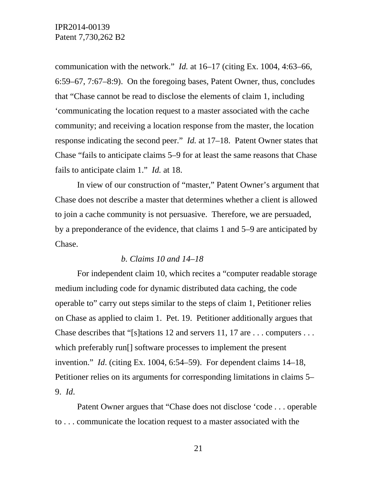communication with the network." *Id.* at 16–17 (citing Ex. 1004, 4:63–66, 6:59–67, 7:67–8:9). On the foregoing bases, Patent Owner, thus, concludes that "Chase cannot be read to disclose the elements of claim 1, including 'communicating the location request to a master associated with the cache community; and receiving a location response from the master, the location response indicating the second peer." *Id.* at 17–18. Patent Owner states that Chase "fails to anticipate claims 5–9 for at least the same reasons that Chase fails to anticipate claim 1." *Id.* at 18.

In view of our construction of "master," Patent Owner's argument that Chase does not describe a master that determines whether a client is allowed to join a cache community is not persuasive. Therefore, we are persuaded, by a preponderance of the evidence, that claims 1 and 5–9 are anticipated by Chase.

#### *b. Claims 10 and 14–18*

For independent claim 10, which recites a "computer readable storage medium including code for dynamic distributed data caching, the code operable to" carry out steps similar to the steps of claim 1, Petitioner relies on Chase as applied to claim 1. Pet. 19. Petitioner additionally argues that Chase describes that "[s]tations 12 and servers 11, 17 are . . . computers . . . which preferably run[] software processes to implement the present invention." *Id*. (citing Ex. 1004, 6:54–59). For dependent claims 14–18, Petitioner relies on its arguments for corresponding limitations in claims 5– 9. *Id*.

Patent Owner argues that "Chase does not disclose 'code . . . operable to . . . communicate the location request to a master associated with the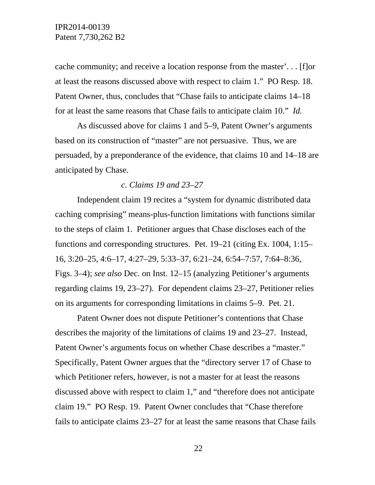cache community; and receive a location response from the master'. . . [f]or at least the reasons discussed above with respect to claim 1." PO Resp. 18. Patent Owner, thus, concludes that "Chase fails to anticipate claims 14–18 for at least the same reasons that Chase fails to anticipate claim 10." *Id.* 

As discussed above for claims 1 and 5–9, Patent Owner's arguments based on its construction of "master" are not persuasive. Thus, we are persuaded, by a preponderance of the evidence, that claims 10 and 14–18 are anticipated by Chase.

#### *c. Claims 19 and 23–27*

Independent claim 19 recites a "system for dynamic distributed data caching comprising" means-plus-function limitations with functions similar to the steps of claim 1. Petitioner argues that Chase discloses each of the functions and corresponding structures. Pet. 19–21 (citing Ex. 1004, 1:15– 16, 3:20–25, 4:6–17, 4:27–29, 5:33–37, 6:21–24, 6:54–7:57, 7:64–8:36, Figs. 3–4); *see also* Dec. on Inst. 12–15 (analyzing Petitioner's arguments regarding claims 19, 23–27). For dependent claims 23–27, Petitioner relies on its arguments for corresponding limitations in claims 5–9. Pet. 21.

Patent Owner does not dispute Petitioner's contentions that Chase describes the majority of the limitations of claims 19 and 23–27. Instead, Patent Owner's arguments focus on whether Chase describes a "master." Specifically, Patent Owner argues that the "directory server 17 of Chase to which Petitioner refers, however, is not a master for at least the reasons discussed above with respect to claim 1," and "therefore does not anticipate claim 19." PO Resp. 19. Patent Owner concludes that "Chase therefore fails to anticipate claims 23–27 for at least the same reasons that Chase fails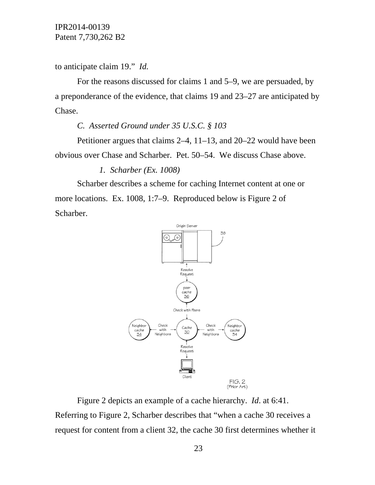to anticipate claim 19." *Id.*

For the reasons discussed for claims 1 and 5–9, we are persuaded, by a preponderance of the evidence, that claims 19 and 23–27 are anticipated by Chase.

### *C. Asserted Ground under 35 U.S.C. § 103*

Petitioner argues that claims 2–4, 11–13, and 20–22 would have been obvious over Chase and Scharber. Pet. 50–54. We discuss Chase above.

#### *1. Scharber (Ex. 1008)*

Scharber describes a scheme for caching Internet content at one or more locations. Ex. 1008, 1:7–9. Reproduced below is Figure 2 of Scharber.



Figure 2 depicts an example of a cache hierarchy. *Id*. at 6:41. Referring to Figure 2, Scharber describes that "when a cache 30 receives a request for content from a client 32, the cache 30 first determines whether it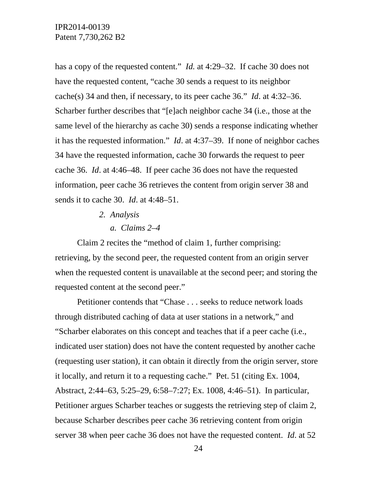has a copy of the requested content." *Id.* at 4:29–32. If cache 30 does not have the requested content, "cache 30 sends a request to its neighbor cache(s) 34 and then, if necessary, to its peer cache 36." *Id*. at 4:32–36. Scharber further describes that "[e]ach neighbor cache 34 (i.e., those at the same level of the hierarchy as cache 30) sends a response indicating whether it has the requested information." *Id*. at 4:37–39. If none of neighbor caches 34 have the requested information, cache 30 forwards the request to peer cache 36. *Id*. at 4:46–48. If peer cache 36 does not have the requested information, peer cache 36 retrieves the content from origin server 38 and sends it to cache 30. *Id*. at 4:48–51.

- *2. Analysis* 
	- *a. Claims 2–4*

Claim 2 recites the "method of claim 1, further comprising: retrieving, by the second peer, the requested content from an origin server when the requested content is unavailable at the second peer; and storing the requested content at the second peer."

Petitioner contends that "Chase . . . seeks to reduce network loads through distributed caching of data at user stations in a network," and "Scharber elaborates on this concept and teaches that if a peer cache (i.e., indicated user station) does not have the content requested by another cache (requesting user station), it can obtain it directly from the origin server, store it locally, and return it to a requesting cache." Pet. 51 (citing Ex. 1004, Abstract, 2:44–63, 5:25–29, 6:58–7:27; Ex. 1008, 4:46–51). In particular, Petitioner argues Scharber teaches or suggests the retrieving step of claim 2, because Scharber describes peer cache 36 retrieving content from origin server 38 when peer cache 36 does not have the requested content. *Id*. at 52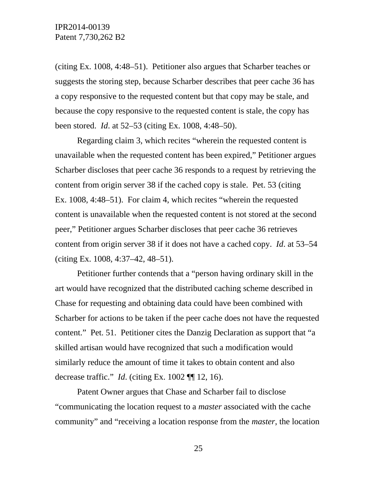(citing Ex. 1008, 4:48–51). Petitioner also argues that Scharber teaches or suggests the storing step, because Scharber describes that peer cache 36 has a copy responsive to the requested content but that copy may be stale, and because the copy responsive to the requested content is stale, the copy has been stored. *Id*. at 52–53 (citing Ex. 1008, 4:48–50).

Regarding claim 3, which recites "wherein the requested content is unavailable when the requested content has been expired," Petitioner argues Scharber discloses that peer cache 36 responds to a request by retrieving the content from origin server 38 if the cached copy is stale. Pet. 53 (citing Ex. 1008, 4:48–51). For claim 4, which recites "wherein the requested content is unavailable when the requested content is not stored at the second peer," Petitioner argues Scharber discloses that peer cache 36 retrieves content from origin server 38 if it does not have a cached copy. *Id*. at 53–54 (citing Ex. 1008, 4:37–42, 48–51).

Petitioner further contends that a "person having ordinary skill in the art would have recognized that the distributed caching scheme described in Chase for requesting and obtaining data could have been combined with Scharber for actions to be taken if the peer cache does not have the requested content." Pet. 51. Petitioner cites the Danzig Declaration as support that "a skilled artisan would have recognized that such a modification would similarly reduce the amount of time it takes to obtain content and also decrease traffic." *Id*. (citing Ex. 1002 ¶¶ 12, 16).

Patent Owner argues that Chase and Scharber fail to disclose "communicating the location request to a *master* associated with the cache community" and "receiving a location response from the *master*, the location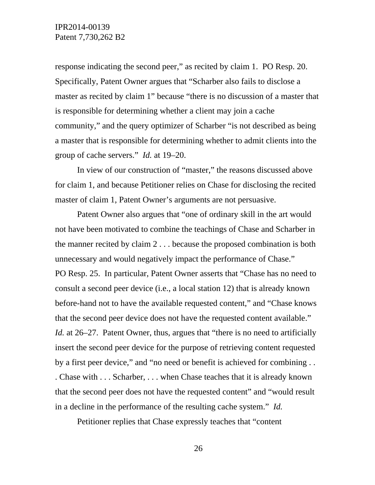response indicating the second peer," as recited by claim 1. PO Resp. 20. Specifically, Patent Owner argues that "Scharber also fails to disclose a master as recited by claim 1" because "there is no discussion of a master that is responsible for determining whether a client may join a cache community," and the query optimizer of Scharber "is not described as being a master that is responsible for determining whether to admit clients into the group of cache servers." *Id.* at 19–20.

In view of our construction of "master," the reasons discussed above for claim 1, and because Petitioner relies on Chase for disclosing the recited master of claim 1, Patent Owner's arguments are not persuasive.

Patent Owner also argues that "one of ordinary skill in the art would not have been motivated to combine the teachings of Chase and Scharber in the manner recited by claim 2 . . . because the proposed combination is both unnecessary and would negatively impact the performance of Chase." PO Resp. 25. In particular, Patent Owner asserts that "Chase has no need to consult a second peer device (i.e., a local station 12) that is already known before-hand not to have the available requested content," and "Chase knows that the second peer device does not have the requested content available." *Id.* at 26–27. Patent Owner, thus, argues that "there is no need to artificially insert the second peer device for the purpose of retrieving content requested by a first peer device," and "no need or benefit is achieved for combining . . . Chase with . . . Scharber, . . . when Chase teaches that it is already known that the second peer does not have the requested content" and "would result in a decline in the performance of the resulting cache system." *Id.*

Petitioner replies that Chase expressly teaches that "content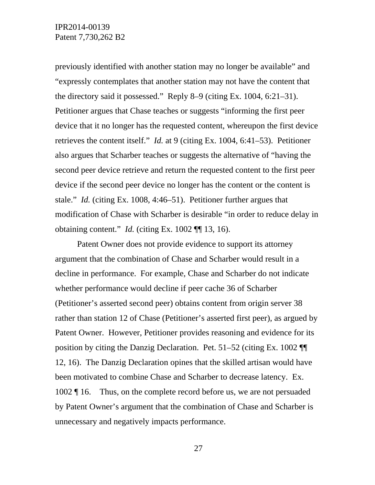previously identified with another station may no longer be available" and "expressly contemplates that another station may not have the content that the directory said it possessed." Reply 8–9 (citing Ex. 1004, 6:21–31). Petitioner argues that Chase teaches or suggests "informing the first peer device that it no longer has the requested content, whereupon the first device retrieves the content itself." *Id.* at 9 (citing Ex. 1004, 6:41–53). Petitioner also argues that Scharber teaches or suggests the alternative of "having the second peer device retrieve and return the requested content to the first peer device if the second peer device no longer has the content or the content is stale." *Id.* (citing Ex. 1008, 4:46–51). Petitioner further argues that modification of Chase with Scharber is desirable "in order to reduce delay in obtaining content." *Id.* (citing Ex. 1002 ¶¶ 13, 16).

Patent Owner does not provide evidence to support its attorney argument that the combination of Chase and Scharber would result in a decline in performance. For example, Chase and Scharber do not indicate whether performance would decline if peer cache 36 of Scharber (Petitioner's asserted second peer) obtains content from origin server 38 rather than station 12 of Chase (Petitioner's asserted first peer), as argued by Patent Owner. However, Petitioner provides reasoning and evidence for its position by citing the Danzig Declaration. Pet. 51–52 (citing Ex. 1002 ¶¶ 12, 16). The Danzig Declaration opines that the skilled artisan would have been motivated to combine Chase and Scharber to decrease latency. Ex. 1002 ¶ 16. Thus, on the complete record before us, we are not persuaded by Patent Owner's argument that the combination of Chase and Scharber is unnecessary and negatively impacts performance.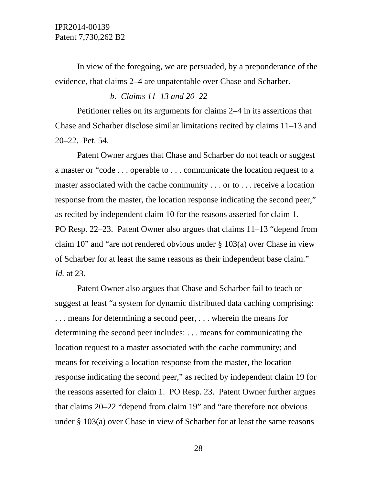In view of the foregoing, we are persuaded, by a preponderance of the evidence, that claims 2–4 are unpatentable over Chase and Scharber.

#### *b. Claims 11–13 and 20–22*

Petitioner relies on its arguments for claims 2–4 in its assertions that Chase and Scharber disclose similar limitations recited by claims 11–13 and 20–22. Pet. 54.

Patent Owner argues that Chase and Scharber do not teach or suggest a master or "code . . . operable to . . . communicate the location request to a master associated with the cache community . . . or to . . . receive a location response from the master, the location response indicating the second peer," as recited by independent claim 10 for the reasons asserted for claim 1. PO Resp. 22–23. Patent Owner also argues that claims 11–13 "depend from claim 10" and "are not rendered obvious under § 103(a) over Chase in view of Scharber for at least the same reasons as their independent base claim." *Id.* at 23.

Patent Owner also argues that Chase and Scharber fail to teach or suggest at least "a system for dynamic distributed data caching comprising: . . . means for determining a second peer, . . . wherein the means for determining the second peer includes: . . . means for communicating the location request to a master associated with the cache community; and means for receiving a location response from the master, the location response indicating the second peer," as recited by independent claim 19 for the reasons asserted for claim 1. PO Resp. 23. Patent Owner further argues that claims 20–22 "depend from claim 19" and "are therefore not obvious under § 103(a) over Chase in view of Scharber for at least the same reasons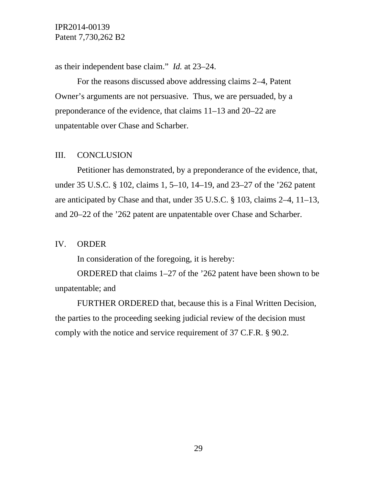as their independent base claim." *Id.* at 23–24.

For the reasons discussed above addressing claims 2–4, Patent Owner's arguments are not persuasive. Thus, we are persuaded, by a preponderance of the evidence, that claims 11–13 and 20–22 are unpatentable over Chase and Scharber.

### III. CONCLUSION

Petitioner has demonstrated, by a preponderance of the evidence, that, under 35 U.S.C. § 102, claims 1, 5–10, 14–19, and 23–27 of the '262 patent are anticipated by Chase and that, under 35 U.S.C. § 103, claims 2–4, 11–13, and 20–22 of the '262 patent are unpatentable over Chase and Scharber.

### IV. ORDER

In consideration of the foregoing, it is hereby:

ORDERED that claims 1–27 of the '262 patent have been shown to be unpatentable; and

FURTHER ORDERED that, because this is a Final Written Decision, the parties to the proceeding seeking judicial review of the decision must comply with the notice and service requirement of 37 C.F.R. § 90.2.